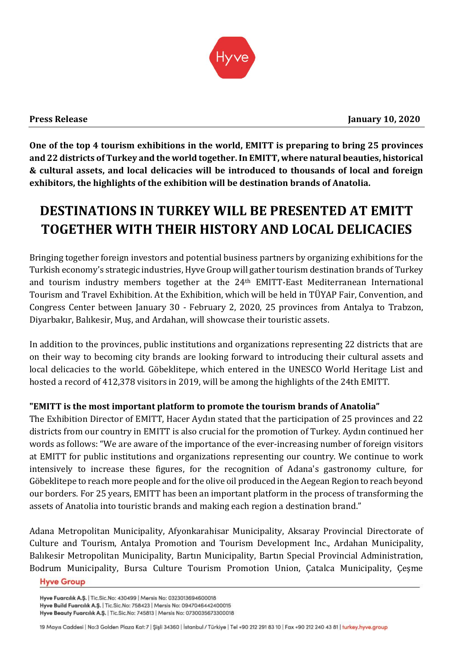

**One of the top 4 tourism exhibitions in the world, EMITT is preparing to bring 25 provinces and 22 districts of Turkey and the world together.In EMITT, where natural beauties, historical & cultural assets, and local delicacies will be introduced to thousands of local and foreign exhibitors, the highlights of the exhibition will be destination brands of Anatolia.** 

# **DESTINATIONS IN TURKEY WILL BE PRESENTED AT EMITT TOGETHER WITH THEIR HISTORY AND LOCAL DELICACIES**

Bringing together foreign investors and potential business partners by organizing exhibitions for the Turkish economy's strategic industries, Hyve Group will gather tourism destination brands of Turkey and tourism industry members together at the 24th EMITT-East Mediterranean International Tourism and Travel Exhibition. At the Exhibition, which will be held in TÜYAP Fair, Convention, and Congress Center between January 30 - February 2, 2020, 25 provinces from Antalya to Trabzon, Diyarbakır, Balıkesir, Muş, and Ardahan, will showcase their touristic assets.

In addition to the provinces, public institutions and organizations representing 22 districts that are on their way to becoming city brands are looking forward to introducing their cultural assets and local delicacies to the world. Göbeklitepe, which entered in the UNESCO World Heritage List and hosted a record of 412,378 visitors in 2019, will be among the highlights of the 24th EMITT.

## **"EMITT is the most important platform to promote the tourism brands of Anatolia"**

The Exhibition Director of EMITT, Hacer Aydın stated that the participation of 25 provinces and 22 districts from our country in EMITT is also crucial for the promotion of Turkey. Aydın continued her words as follows: "We are aware of the importance of the ever-increasing number of foreign visitors at EMITT for public institutions and organizations representing our country. We continue to work intensively to increase these figures, for the recognition of Adana's gastronomy culture, for Göbeklitepe to reach more people and for the olive oil produced in the Aegean Region to reach beyond our borders. For 25 years, EMITT has been an important platform in the process of transforming the assets of Anatolia into touristic brands and making each region a destination brand."

Adana Metropolitan Municipality, Afyonkarahisar Municipality, Aksaray Provincial Directorate of Culture and Tourism, Antalya Promotion and Tourism Development Inc., Ardahan Municipality, Balıkesir Metropolitan Municipality, Bartın Municipality, Bartın Special Provincial Administration, Bodrum Municipality, Bursa Culture Tourism Promotion Union, Çatalca Municipality, Çeşme

**Hyve Group** 

Hyve Fuarcılık A.Ş. | Tic.Sic.No: 430499 | Mersis No: 0323013694600018 Hyve Build Fuarcılık A.Ş. | Tic.Sic.No: 758423 | Mersis No: 0947046442400015 Hyve Beauty Fuarcılık A.Ş. | Tic.Sic.No: 745813 | Mersis No: 0730035673300018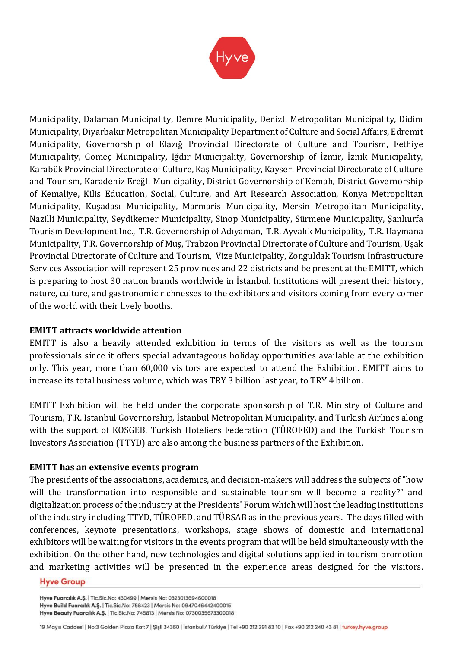

Municipality, Dalaman Municipality, Demre Municipality, Denizli Metropolitan Municipality, Didim Municipality, Diyarbakır Metropolitan Municipality Department of Culture and Social Affairs, Edremit Municipality, Governorship of Elazığ Provincial Directorate of Culture and Tourism, Fethiye Municipality, Gömeç Municipality, Iğdır Municipality, Governorship of İzmir, İznik Municipality, Karabük Provincial Directorate of Culture, Kaş Municipality, Kayseri Provincial Directorate of Culture and Tourism, Karadeniz Ereğli Municipality, District Governorship of Kemah, District Governorship of Kemaliye, Kilis Education, Social, Culture, and Art Research Association, Konya Metropolitan Municipality, Kuşadası Municipality, Marmaris Municipality, Mersin Metropolitan Municipality, Nazilli Municipality, Seydikemer Municipality, Sinop Municipality, Sürmene Municipality, Şanlıurfa Tourism Development Inc., T.R. Governorship of Adıyaman, T.R. Ayvalık Municipality, T.R. Haymana Municipality, T.R. Governorship of Muş, Trabzon Provincial Directorate of Culture and Tourism, Uşak Provincial Directorate of Culture and Tourism, Vize Municipality, Zonguldak Tourism Infrastructure Services Association will represent 25 provinces and 22 districts and be present at the EMITT, which is preparing to host 30 nation brands worldwide in İstanbul. Institutions will present their history, nature, culture, and gastronomic richnesses to the exhibitors and visitors coming from every corner of the world with their lively booths.

## **EMITT attracts worldwide attention**

EMITT is also a heavily attended exhibition in terms of the visitors as well as the tourism professionals since it offers special advantageous holiday opportunities available at the exhibition only. This year, more than 60,000 visitors are expected to attend the Exhibition. EMITT aims to increase its total business volume, which was TRY 3 billion last year, to TRY 4 billion.

EMITT Exhibition will be held under the corporate sponsorship of T.R. Ministry of Culture and Tourism, T.R. Istanbul Governorship, İstanbul Metropolitan Municipality, and Turkish Airlines along with the support of KOSGEB. Turkish Hoteliers Federation (TÜROFED) and the Turkish Tourism Investors Association (TTYD) are also among the business partners of the Exhibition.

## **EMITT has an extensive events program**

The presidents of the associations, academics, and decision-makers will address the subjects of "how will the transformation into responsible and sustainable tourism will become a reality?" and digitalization process of the industry at the Presidents' Forum which will host the leading institutions of the industry including TTYD, TÜROFED, and TÜRSAB as in the previous years. The days filled with conferences, keynote presentations, workshops, stage shows of domestic and international exhibitors will be waiting for visitors in the events program that will be held simultaneously with the exhibition. On the other hand, new technologies and digital solutions applied in tourism promotion and marketing activities will be presented in the experience areas designed for the visitors.

### **Hyve Group**

Hyve Fuarcılık A.Ş. | Tic.Sic.No: 430499 | Mersis No: 0323013694600018 Hyve Build Fuarcılık A.Ş. | Tic.Sic.No: 758423 | Mersis No: 0947046442400015 Hyve Beauty Fuarcılık A.Ş. | Tic.Sic.No: 745813 | Mersis No: 0730035673300018